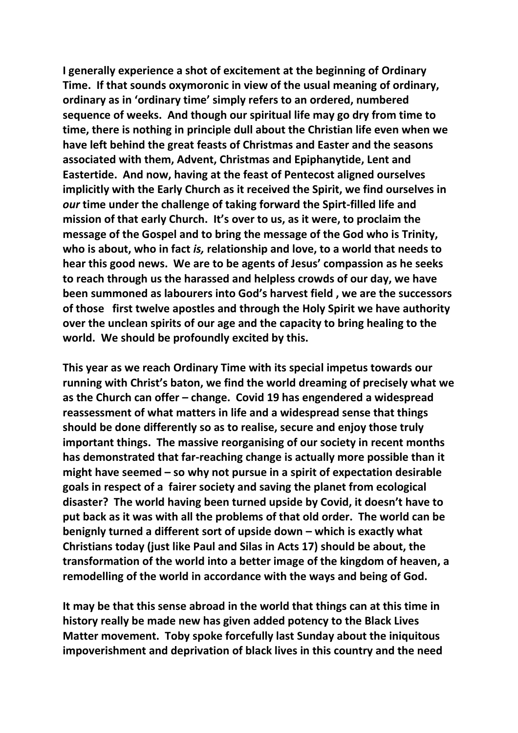**I generally experience a shot of excitement at the beginning of Ordinary Time. If that sounds oxymoronic in view of the usual meaning of ordinary, ordinary as in 'ordinary time' simply refers to an ordered, numbered sequence of weeks. And though our spiritual life may go dry from time to time, there is nothing in principle dull about the Christian life even when we have left behind the great feasts of Christmas and Easter and the seasons associated with them, Advent, Christmas and Epiphanytide, Lent and Eastertide. And now, having at the feast of Pentecost aligned ourselves implicitly with the Early Church as it received the Spirit, we find ourselves in**  *our* **time under the challenge of taking forward the Spirt-filled life and mission of that early Church. It's over to us, as it were, to proclaim the message of the Gospel and to bring the message of the God who is Trinity, who is about, who in fact** *is,* **relationship and love, to a world that needs to hear this good news. We are to be agents of Jesus' compassion as he seeks to reach through us the harassed and helpless crowds of our day, we have been summoned as labourers into God's harvest field , we are the successors of those first twelve apostles and through the Holy Spirit we have authority over the unclean spirits of our age and the capacity to bring healing to the world. We should be profoundly excited by this.**

**This year as we reach Ordinary Time with its special impetus towards our running with Christ's baton, we find the world dreaming of precisely what we as the Church can offer – change. Covid 19 has engendered a widespread reassessment of what matters in life and a widespread sense that things should be done differently so as to realise, secure and enjoy those truly important things. The massive reorganising of our society in recent months has demonstrated that far-reaching change is actually more possible than it might have seemed – so why not pursue in a spirit of expectation desirable goals in respect of a fairer society and saving the planet from ecological disaster? The world having been turned upside by Covid, it doesn't have to put back as it was with all the problems of that old order. The world can be benignly turned a different sort of upside down – which is exactly what Christians today (just like Paul and Silas in Acts 17) should be about, the transformation of the world into a better image of the kingdom of heaven, a remodelling of the world in accordance with the ways and being of God.**

**It may be that this sense abroad in the world that things can at this time in history really be made new has given added potency to the Black Lives Matter movement. Toby spoke forcefully last Sunday about the iniquitous impoverishment and deprivation of black lives in this country and the need**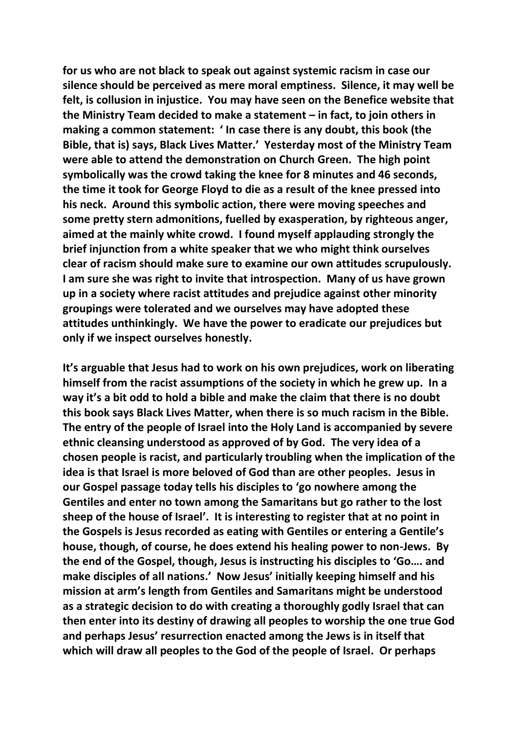**for us who are not black to speak out against systemic racism in case our silence should be perceived as mere moral emptiness. Silence, it may well be felt, is collusion in injustice. You may have seen on the Benefice website that the Ministry Team decided to make a statement – in fact, to join others in making a common statement: ' In case there is any doubt, this book (the Bible, that is) says, Black Lives Matter.' Yesterday most of the Ministry Team were able to attend the demonstration on Church Green. The high point symbolically was the crowd taking the knee for 8 minutes and 46 seconds, the time it took for George Floyd to die as a result of the knee pressed into his neck. Around this symbolic action, there were moving speeches and some pretty stern admonitions, fuelled by exasperation, by righteous anger, aimed at the mainly white crowd. I found myself applauding strongly the brief injunction from a white speaker that we who might think ourselves clear of racism should make sure to examine our own attitudes scrupulously. I am sure she was right to invite that introspection. Many of us have grown up in a society where racist attitudes and prejudice against other minority groupings were tolerated and we ourselves may have adopted these attitudes unthinkingly. We have the power to eradicate our prejudices but only if we inspect ourselves honestly.**

**It's arguable that Jesus had to work on his own prejudices, work on liberating himself from the racist assumptions of the society in which he grew up. In a way it's a bit odd to hold a bible and make the claim that there is no doubt this book says Black Lives Matter, when there is so much racism in the Bible. The entry of the people of Israel into the Holy Land is accompanied by severe ethnic cleansing understood as approved of by God. The very idea of a chosen people is racist, and particularly troubling when the implication of the idea is that Israel is more beloved of God than are other peoples. Jesus in our Gospel passage today tells his disciples to 'go nowhere among the Gentiles and enter no town among the Samaritans but go rather to the lost sheep of the house of Israel'. It is interesting to register that at no point in the Gospels is Jesus recorded as eating with Gentiles or entering a Gentile's house, though, of course, he does extend his healing power to non-Jews. By the end of the Gospel, though, Jesus is instructing his disciples to 'Go…. and make disciples of all nations.' Now Jesus' initially keeping himself and his mission at arm's length from Gentiles and Samaritans might be understood as a strategic decision to do with creating a thoroughly godly Israel that can then enter into its destiny of drawing all peoples to worship the one true God and perhaps Jesus' resurrection enacted among the Jews is in itself that which will draw all peoples to the God of the people of Israel. Or perhaps**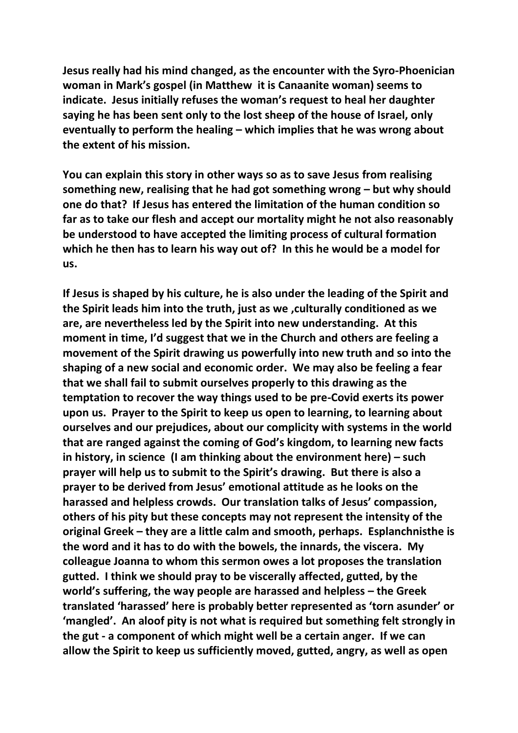**Jesus really had his mind changed, as the encounter with the Syro-Phoenician woman in Mark's gospel (in Matthew it is Canaanite woman) seems to indicate. Jesus initially refuses the woman's request to heal her daughter saying he has been sent only to the lost sheep of the house of Israel, only eventually to perform the healing – which implies that he was wrong about the extent of his mission.** 

**You can explain this story in other ways so as to save Jesus from realising something new, realising that he had got something wrong – but why should one do that? If Jesus has entered the limitation of the human condition so far as to take our flesh and accept our mortality might he not also reasonably be understood to have accepted the limiting process of cultural formation which he then has to learn his way out of? In this he would be a model for us.**

**If Jesus is shaped by his culture, he is also under the leading of the Spirit and the Spirit leads him into the truth, just as we ,culturally conditioned as we are, are nevertheless led by the Spirit into new understanding. At this moment in time, I'd suggest that we in the Church and others are feeling a movement of the Spirit drawing us powerfully into new truth and so into the shaping of a new social and economic order. We may also be feeling a fear that we shall fail to submit ourselves properly to this drawing as the temptation to recover the way things used to be pre-Covid exerts its power upon us. Prayer to the Spirit to keep us open to learning, to learning about ourselves and our prejudices, about our complicity with systems in the world that are ranged against the coming of God's kingdom, to learning new facts in history, in science (I am thinking about the environment here) – such prayer will help us to submit to the Spirit's drawing. But there is also a prayer to be derived from Jesus' emotional attitude as he looks on the harassed and helpless crowds. Our translation talks of Jesus' compassion, others of his pity but these concepts may not represent the intensity of the original Greek – they are a little calm and smooth, perhaps. Esplanchnisthe is the word and it has to do with the bowels, the innards, the viscera. My colleague Joanna to whom this sermon owes a lot proposes the translation gutted. I think we should pray to be viscerally affected, gutted, by the world's suffering, the way people are harassed and helpless – the Greek translated 'harassed' here is probably better represented as 'torn asunder' or 'mangled'. An aloof pity is not what is required but something felt strongly in the gut - a component of which might well be a certain anger. If we can allow the Spirit to keep us sufficiently moved, gutted, angry, as well as open**